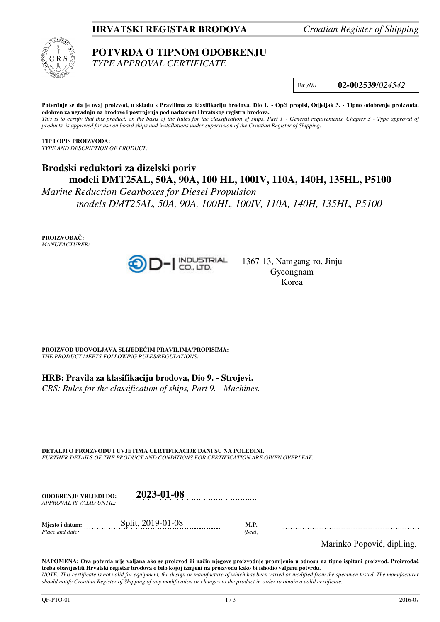## **HRVATSKI REGISTAR BRODOVA** *Croatian Register of Shipping*



# **POTVRDA O TIPNOM ODOBRENJU**

*TYPE APPROVAL CERTIFICATE* 

**Br** */No* **02-002539**/*024542*

**Potvrđuje se da je ovaj proizvod, u skladu s Pravilima za klasifikaciju brodova, Dio 1. - Opći propisi, Odjeljak 3. - Tipno odobrenje proizvoda, odobren za ugradnju na brodove i postrojenja pod nadzorom Hrvatskog registra brodova.**  This is to certify that this product, on the basis of the Rules for the classification of ships, Part 1 - General requirements, Chapter 3 - Type approval of *products, is approved for use on board ships and installations under supervision of the Croatian Register of Shipping.* 

**TIP I OPIS PROIZVODA:** *TYPE AND DESCRIPTION OF PRODUCT:* 

# **Brodski reduktori za dizelski poriv modeli DMT25AL, 50A, 90A, 100 HL, 100IV, 110A, 140H, 135HL, P5100**

*Marine Reduction Gearboxes for Diesel Propulsion models DMT25AL, 50A, 90A, 100HL, 100IV, 110A, 140H, 135HL, P5100*

**PROIZVOĐAČ:** *MANUFACTURER:*



1367-13, Namgang-ro, Jinju Gyeongnam Korea

**PROIZVOD UDOVOLJAVA SLIJEDEĆIM PRAVILIMA/PROPISIMA:** *THE PRODUCT MEETS FOLLOWING RULES/REGULATIONS:* 

**HRB: Pravila za klasifikaciju brodova, Dio 9. - Strojevi.** 

*CRS: Rules for the classification of ships, Part 9. - Machines.*

**DETALJI O PROIZVODU I UVJETIMA CERTIFIKACIJE DANI SU NA POLEĐINI.** *FURTHER DETAILS OF THE PRODUCT AND CONDITIONS FOR CERTIFICATION ARE GIVEN OVERLEAF.* 

| <b>ODOBRENJE VRLIEDI DO:</b> | 2023-01-08        |      |
|------------------------------|-------------------|------|
| APPROVAL IS VALID UNTIL:     |                   |      |
| Miesto i datum:              | Split, 2019-01-08 | M.P. |

*Place and date:* (Seal) *Place and date:* (Seal)

Marinko Popović, dipl.ing.

**NAPOMENA: Ova potvrda nije valjana ako se proizvod ili način njegove proizvodnje promijenio u odnosu na tipno ispitani proizvod. Proizvođač treba obavijestiti Hrvatski registar brodova o bilo kojoj izmjeni na proizvodu kako bi ishodio valjanu potvrdu.**  *NOTE: This certificate is not valid for equipment, the design or manufacture of which has been varied or modified from the specimen tested. The manufacturer should notify Croatian Register of Shipping of any modification or changes to the product in order to obtain a valid certificate.*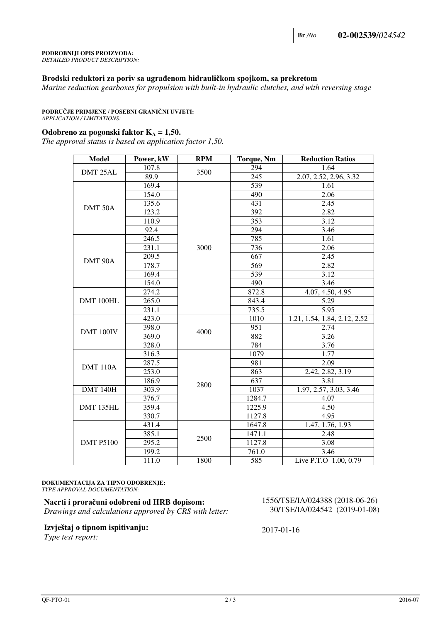#### **PODROBNIJI OPIS PROIZVODA:**

*DETAILED PRODUCT DESCRIPTION:* 

### **Brodski reduktori za poriv sa ugrađenom hidrauličkom spojkom, sa prekretom**

*Marine reduction gearboxes for propulsion with built-in hydraulic clutches, and with reversing stage*

#### **PODRUČJE PRIMJENE / POSEBNI GRANIČNI UVJETI:**

*APPLICATION / LIMITATIONS:* 

#### **Odobreno za pogonski faktor**  $K_A = 1,50$ **.**

*The approval status is based on application factor 1,50.* 

| <b>Model</b>     | Power, kW | <b>RPM</b> | <b>Torque, Nm</b> | <b>Reduction Ratios</b>      |
|------------------|-----------|------------|-------------------|------------------------------|
| DMT 25AL         | 107.8     | 3500       | 294               | 1.64                         |
|                  | 89.9      |            | $\overline{245}$  | 2.07, 2.52, 2.96, 3.32       |
| DMT 50A          | 169.4     | 3000       | 539               | 1.61                         |
|                  | 154.0     |            | 490               | 2.06                         |
|                  | 135.6     |            | 431               | 2.45                         |
|                  | 123.2     |            | 392               | 2.82                         |
|                  | 110.9     |            | 353               | 3.12                         |
|                  | 92.4      |            | 294               | 3.46                         |
| DMT 90A          | 246.5     |            | 785               | 1.61                         |
|                  | 231.1     |            | 736               | 2.06                         |
|                  | 209.5     |            | 667               | 2.45                         |
|                  | 178.7     |            | 569               | 2.82                         |
|                  | 169.4     |            | 539               | 3.12                         |
|                  | 154.0     |            | 490               | 3.46                         |
| DMT 100HL        | 274.2     |            | 872.8             | 4.07, 4.50, 4.95             |
|                  | 265.0     |            | 843.4             | 5.29                         |
|                  | 231.1     |            | 735.5             | 5.95                         |
| DMT 100IV        | 423.0     | 4000       | 1010              | 1.21, 1.54, 1.84, 2.12, 2.52 |
|                  | 398.0     |            | 951               | 2.74                         |
|                  | 369.0     |            | 882               | 3.26                         |
|                  | 328.0     |            | 784               | 3.76                         |
| <b>DMT 110A</b>  | 316.3     | 2800       | 1079              | 1.77                         |
|                  | 287.5     |            | 981               | 2.09                         |
|                  | 253.0     |            | 863               | 2.42, 2.82, 3.19             |
|                  | 186.9     |            | 637               | 3.81                         |
| <b>DMT 140H</b>  | 303.9     |            | 1037              | 1.97, 2.57, 3.03, 3.46       |
| DMT 135HL        | 376.7     |            | 1284.7            | 4.07                         |
|                  | 359.4     |            | 1225.9            | 4.50                         |
|                  | 330.7     |            | 1127.8            | 4.95                         |
| <b>DMT P5100</b> | 431.4     | 2500       | 1647.8            | 1.47, 1.76, 1.93             |
|                  | 385.1     |            | 1471.1            | 2.48                         |
|                  | 295.2     |            | 1127.8            | 3.08                         |
|                  | 199.2     |            | 761.0             | 3.46                         |
|                  | 111.0     | 1800       | 585               | Live P.T.O 1.00, 0.79        |

#### **DOKUMENTACIJA ZA TIPNO ODOBRENJE:** *TYPE APPROVAL DOCUMENTATION:*

**Nacrti i proračuni odobreni od HRB dopisom:**  *Drawings and calculations approved by CRS with letter:*

#### **Izvještaj o tipnom ispitivanju:**

*Type test report:*

1556/TSE/IA/024388 (2018-06-26) 30/TSE/IA/024542 (2019-01-08)

2017-01-16